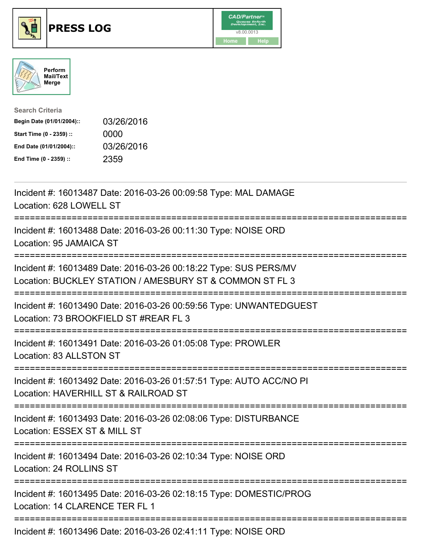





| <b>Search Criteria</b>    |            |
|---------------------------|------------|
| Begin Date (01/01/2004):: | 03/26/2016 |
| Start Time (0 - 2359) ::  | 0000       |
| End Date (01/01/2004)::   | 03/26/2016 |
| End Time (0 - 2359) ::    | 2359       |

| Incident #: 16013487 Date: 2016-03-26 00:09:58 Type: MAL DAMAGE<br>Location: 628 LOWELL ST                                   |
|------------------------------------------------------------------------------------------------------------------------------|
| Incident #: 16013488 Date: 2016-03-26 00:11:30 Type: NOISE ORD<br>Location: 95 JAMAICA ST                                    |
| Incident #: 16013489 Date: 2016-03-26 00:18:22 Type: SUS PERS/MV<br>Location: BUCKLEY STATION / AMESBURY ST & COMMON ST FL 3 |
| Incident #: 16013490 Date: 2016-03-26 00:59:56 Type: UNWANTEDGUEST<br>Location: 73 BROOKFIELD ST #REAR FL 3                  |
| Incident #: 16013491 Date: 2016-03-26 01:05:08 Type: PROWLER<br>Location: 83 ALLSTON ST<br>--------------                    |
| Incident #: 16013492 Date: 2016-03-26 01:57:51 Type: AUTO ACC/NO PI<br>Location: HAVERHILL ST & RAILROAD ST                  |
| Incident #: 16013493 Date: 2016-03-26 02:08:06 Type: DISTURBANCE<br>Location: ESSEX ST & MILL ST<br>-------------            |
| Incident #: 16013494 Date: 2016-03-26 02:10:34 Type: NOISE ORD<br>Location: 24 ROLLINS ST<br>--------------------            |
| Incident #: 16013495 Date: 2016-03-26 02:18:15 Type: DOMESTIC/PROG<br>Location: 14 CLARENCE TER FL 1                         |
| Incident #: 16013496 Date: 2016-03-26 02:41:11 Type: NOISE ORD                                                               |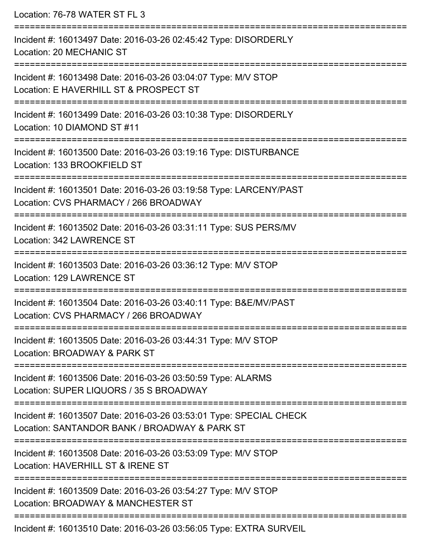Location: 76-78 WATER ST FL 3

=========================================================================== Incident #: 16013497 Date: 2016-03-26 02:45:42 Type: DISORDERLY Location: 20 MECHANIC ST =========================================================================== Incident #: 16013498 Date: 2016-03-26 03:04:07 Type: M/V STOP Location: E HAVERHILL ST & PROSPECT ST =========================================================================== Incident #: 16013499 Date: 2016-03-26 03:10:38 Type: DISORDERLY Location: 10 DIAMOND ST #11 =========================================================================== Incident #: 16013500 Date: 2016-03-26 03:19:16 Type: DISTURBANCE Location: 133 BROOKFIELD ST =========================================================================== Incident #: 16013501 Date: 2016-03-26 03:19:58 Type: LARCENY/PAST Location: CVS PHARMACY / 266 BROADWAY =========================================================================== Incident #: 16013502 Date: 2016-03-26 03:31:11 Type: SUS PERS/MV Location: 342 LAWRENCE ST =========================================================================== Incident #: 16013503 Date: 2016-03-26 03:36:12 Type: M/V STOP Location: 129 LAWRENCE ST =========================================================================== Incident #: 16013504 Date: 2016-03-26 03:40:11 Type: B&E/MV/PAST Location: CVS PHARMACY / 266 BROADWAY =========================================================================== Incident #: 16013505 Date: 2016-03-26 03:44:31 Type: M/V STOP Location: BROADWAY & PARK ST =========================================================================== Incident #: 16013506 Date: 2016-03-26 03:50:59 Type: ALARMS Location: SUPER LIQUORS / 35 S BROADWAY =========================================================================== Incident #: 16013507 Date: 2016-03-26 03:53:01 Type: SPECIAL CHECK Location: SANTANDOR BANK / BROADWAY & PARK ST =========================================================================== Incident #: 16013508 Date: 2016-03-26 03:53:09 Type: M/V STOP Location: HAVERHILL ST & IRENE ST =========================================================================== Incident #: 16013509 Date: 2016-03-26 03:54:27 Type: M/V STOP Location: BROADWAY & MANCHESTER ST =========================================================================== Incident #: 16013510 Date: 2016-03-26 03:56:05 Type: EXTRA SURVEIL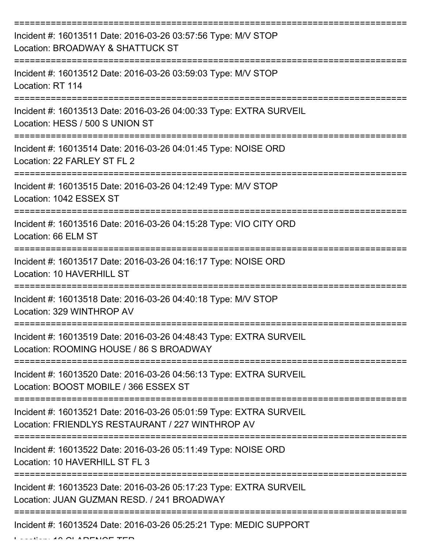| Incident #: 16013511 Date: 2016-03-26 03:57:56 Type: M/V STOP<br>Location: BROADWAY & SHATTUCK ST                      |
|------------------------------------------------------------------------------------------------------------------------|
| Incident #: 16013512 Date: 2016-03-26 03:59:03 Type: M/V STOP<br>Location: RT 114                                      |
| Incident #: 16013513 Date: 2016-03-26 04:00:33 Type: EXTRA SURVEIL<br>Location: HESS / 500 S UNION ST                  |
| Incident #: 16013514 Date: 2016-03-26 04:01:45 Type: NOISE ORD<br>Location: 22 FARLEY ST FL 2                          |
| Incident #: 16013515 Date: 2016-03-26 04:12:49 Type: M/V STOP<br>Location: 1042 ESSEX ST                               |
| Incident #: 16013516 Date: 2016-03-26 04:15:28 Type: VIO CITY ORD<br>Location: 66 ELM ST                               |
| Incident #: 16013517 Date: 2016-03-26 04:16:17 Type: NOISE ORD<br>Location: 10 HAVERHILL ST                            |
| Incident #: 16013518 Date: 2016-03-26 04:40:18 Type: M/V STOP<br>Location: 329 WINTHROP AV                             |
| Incident #: 16013519 Date: 2016-03-26 04:48:43 Type: EXTRA SURVEIL<br>Location: ROOMING HOUSE / 86 S BROADWAY          |
| Incident #: 16013520 Date: 2016-03-26 04:56:13 Type: EXTRA SURVEIL<br>Location: BOOST MOBILE / 366 ESSEX ST            |
| Incident #: 16013521 Date: 2016-03-26 05:01:59 Type: EXTRA SURVEIL<br>Location: FRIENDLYS RESTAURANT / 227 WINTHROP AV |
| Incident #: 16013522 Date: 2016-03-26 05:11:49 Type: NOISE ORD<br>Location: 10 HAVERHILL ST FL 3                       |
| Incident #: 16013523 Date: 2016-03-26 05:17:23 Type: EXTRA SURVEIL<br>Location: JUAN GUZMAN RESD. / 241 BROADWAY       |
| Incident #: 16013524 Date: 2016-03-26 05:25:21 Type: MEDIC SUPPORT                                                     |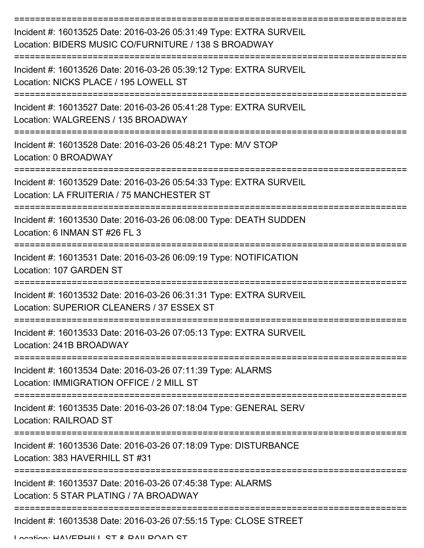| Incident #: 16013525 Date: 2016-03-26 05:31:49 Type: EXTRA SURVEIL<br>Location: BIDERS MUSIC CO/FURNITURE / 138 S BROADWAY<br>================================= |
|-----------------------------------------------------------------------------------------------------------------------------------------------------------------|
| Incident #: 16013526 Date: 2016-03-26 05:39:12 Type: EXTRA SURVEIL<br>Location: NICKS PLACE / 195 LOWELL ST                                                     |
| Incident #: 16013527 Date: 2016-03-26 05:41:28 Type: EXTRA SURVEIL<br>Location: WALGREENS / 135 BROADWAY                                                        |
| Incident #: 16013528 Date: 2016-03-26 05:48:21 Type: M/V STOP<br>Location: 0 BROADWAY<br>-------------------                                                    |
| Incident #: 16013529 Date: 2016-03-26 05:54:33 Type: EXTRA SURVEIL<br>Location: LA FRUITERIA / 75 MANCHESTER ST                                                 |
| Incident #: 16013530 Date: 2016-03-26 06:08:00 Type: DEATH SUDDEN<br>Location: 6 INMAN ST #26 FL 3                                                              |
| Incident #: 16013531 Date: 2016-03-26 06:09:19 Type: NOTIFICATION<br>Location: 107 GARDEN ST                                                                    |
| Incident #: 16013532 Date: 2016-03-26 06:31:31 Type: EXTRA SURVEIL<br>Location: SUPERIOR CLEANERS / 37 ESSEX ST                                                 |
| Incident #: 16013533 Date: 2016-03-26 07:05:13 Type: EXTRA SURVEIL<br>Location: 241B BROADWAY                                                                   |
| Incident #: 16013534 Date: 2016-03-26 07:11:39 Type: ALARMS<br>Location: IMMIGRATION OFFICE / 2 MILL ST                                                         |
| Incident #: 16013535 Date: 2016-03-26 07:18:04 Type: GENERAL SERV<br><b>Location: RAILROAD ST</b>                                                               |
| Incident #: 16013536 Date: 2016-03-26 07:18:09 Type: DISTURBANCE<br>Location: 383 HAVERHILL ST #31                                                              |
| Incident #: 16013537 Date: 2016-03-26 07:45:38 Type: ALARMS<br>Location: 5 STAR PLATING / 7A BROADWAY                                                           |
| Incident #: 16013538 Date: 2016-03-26 07:55:15 Type: CLOSE STREET                                                                                               |

Location: HAVEDHILL ST & DAILDOAD ST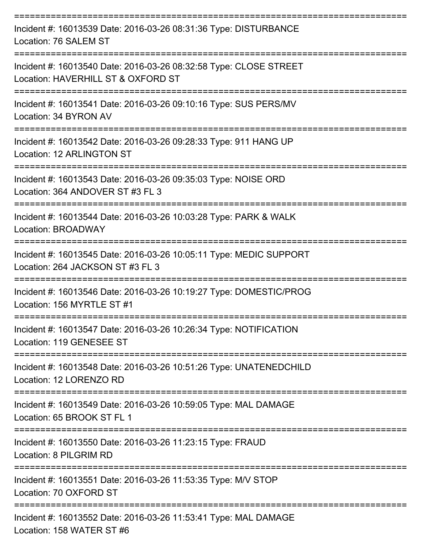| Incident #: 16013539 Date: 2016-03-26 08:31:36 Type: DISTURBANCE<br>Location: 76 SALEM ST               |
|---------------------------------------------------------------------------------------------------------|
| Incident #: 16013540 Date: 2016-03-26 08:32:58 Type: CLOSE STREET<br>Location: HAVERHILL ST & OXFORD ST |
| Incident #: 16013541 Date: 2016-03-26 09:10:16 Type: SUS PERS/MV<br>Location: 34 BYRON AV               |
| Incident #: 16013542 Date: 2016-03-26 09:28:33 Type: 911 HANG UP<br>Location: 12 ARLINGTON ST           |
| Incident #: 16013543 Date: 2016-03-26 09:35:03 Type: NOISE ORD<br>Location: 364 ANDOVER ST #3 FL 3      |
| Incident #: 16013544 Date: 2016-03-26 10:03:28 Type: PARK & WALK<br><b>Location: BROADWAY</b>           |
| Incident #: 16013545 Date: 2016-03-26 10:05:11 Type: MEDIC SUPPORT<br>Location: 264 JACKSON ST #3 FL 3  |
| Incident #: 16013546 Date: 2016-03-26 10:19:27 Type: DOMESTIC/PROG<br>Location: 156 MYRTLE ST #1        |
| Incident #: 16013547 Date: 2016-03-26 10:26:34 Type: NOTIFICATION<br>Location: 119 GENESEE ST           |
| Incident #: 16013548 Date: 2016-03-26 10:51:26 Type: UNATENEDCHILD<br>Location: 12 LORENZO RD           |
| Incident #: 16013549 Date: 2016-03-26 10:59:05 Type: MAL DAMAGE<br>Location: 65 BROOK ST FL 1           |
| Incident #: 16013550 Date: 2016-03-26 11:23:15 Type: FRAUD<br>Location: 8 PILGRIM RD                    |
| Incident #: 16013551 Date: 2016-03-26 11:53:35 Type: M/V STOP<br>Location: 70 OXFORD ST                 |
| Incident #: 16013552 Date: 2016-03-26 11:53:41 Type: MAL DAMAGE<br>$I$ cootion: $450$ $M/$ TCD CT $#$   |

Location: 158 WATER ST #6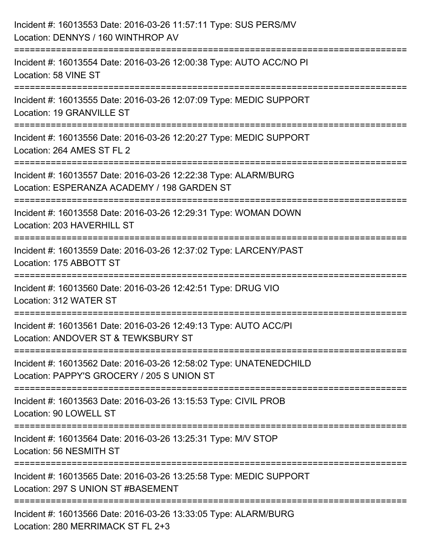| Incident #: 16013553 Date: 2016-03-26 11:57:11 Type: SUS PERS/MV<br>Location: DENNYS / 160 WINTHROP AV                                   |
|------------------------------------------------------------------------------------------------------------------------------------------|
| ======================<br>Incident #: 16013554 Date: 2016-03-26 12:00:38 Type: AUTO ACC/NO PI<br>Location: 58 VINE ST                    |
| Incident #: 16013555 Date: 2016-03-26 12:07:09 Type: MEDIC SUPPORT<br>Location: 19 GRANVILLE ST<br>===================                   |
| :===================================<br>Incident #: 16013556 Date: 2016-03-26 12:20:27 Type: MEDIC SUPPORT<br>Location: 264 AMES ST FL 2 |
| Incident #: 16013557 Date: 2016-03-26 12:22:38 Type: ALARM/BURG<br>Location: ESPERANZA ACADEMY / 198 GARDEN ST<br>==================     |
| Incident #: 16013558 Date: 2016-03-26 12:29:31 Type: WOMAN DOWN<br>Location: 203 HAVERHILL ST                                            |
| Incident #: 16013559 Date: 2016-03-26 12:37:02 Type: LARCENY/PAST<br>Location: 175 ABBOTT ST                                             |
| Incident #: 16013560 Date: 2016-03-26 12:42:51 Type: DRUG VIO<br>Location: 312 WATER ST                                                  |
| Incident #: 16013561 Date: 2016-03-26 12:49:13 Type: AUTO ACC/PI<br>Location: ANDOVER ST & TEWKSBURY ST                                  |
| Incident #: 16013562 Date: 2016-03-26 12:58:02 Type: UNATENEDCHILD<br>Location: PAPPY'S GROCERY / 205 S UNION ST                         |
| Incident #: 16013563 Date: 2016-03-26 13:15:53 Type: CIVIL PROB<br>Location: 90 LOWELL ST                                                |
| Incident #: 16013564 Date: 2016-03-26 13:25:31 Type: M/V STOP<br>Location: 56 NESMITH ST                                                 |
| Incident #: 16013565 Date: 2016-03-26 13:25:58 Type: MEDIC SUPPORT<br>Location: 297 S UNION ST #BASEMENT                                 |
| Incident #: 16013566 Date: 2016-03-26 13:33:05 Type: ALARM/BURG<br>Location: 280 MERRIMACK ST FL 2+3                                     |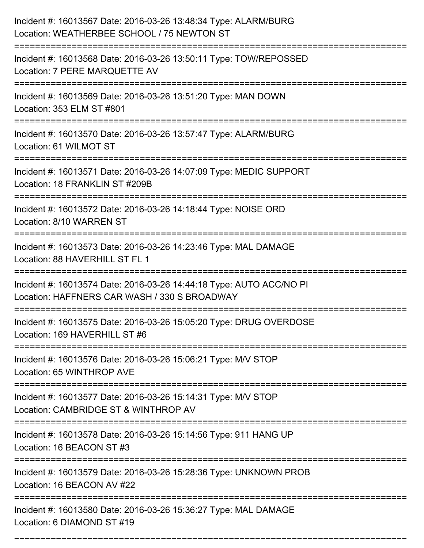| Incident #: 16013567 Date: 2016-03-26 13:48:34 Type: ALARM/BURG<br>Location: WEATHERBEE SCHOOL / 75 NEWTON ST                    |
|----------------------------------------------------------------------------------------------------------------------------------|
| Incident #: 16013568 Date: 2016-03-26 13:50:11 Type: TOW/REPOSSED<br>Location: 7 PERE MARQUETTE AV                               |
| Incident #: 16013569 Date: 2016-03-26 13:51:20 Type: MAN DOWN<br>Location: 353 ELM ST #801                                       |
| Incident #: 16013570 Date: 2016-03-26 13:57:47 Type: ALARM/BURG<br>Location: 61 WILMOT ST                                        |
| Incident #: 16013571 Date: 2016-03-26 14:07:09 Type: MEDIC SUPPORT<br>Location: 18 FRANKLIN ST #209B                             |
| Incident #: 16013572 Date: 2016-03-26 14:18:44 Type: NOISE ORD<br>Location: 8/10 WARREN ST                                       |
| Incident #: 16013573 Date: 2016-03-26 14:23:46 Type: MAL DAMAGE<br>Location: 88 HAVERHILL ST FL 1                                |
| Incident #: 16013574 Date: 2016-03-26 14:44:18 Type: AUTO ACC/NO PI<br>Location: HAFFNERS CAR WASH / 330 S BROADWAY              |
| Incident #: 16013575 Date: 2016-03-26 15:05:20 Type: DRUG OVERDOSE<br>Location: 169 HAVERHILL ST #6                              |
| Incident #: 16013576 Date: 2016-03-26 15:06:21 Type: M/V STOP<br>Location: 65 WINTHROP AVE                                       |
| Incident #: 16013577 Date: 2016-03-26 15:14:31 Type: M/V STOP<br>Location: CAMBRIDGE ST & WINTHROP AV<br>:====================== |
| Incident #: 16013578 Date: 2016-03-26 15:14:56 Type: 911 HANG UP<br>Location: 16 BEACON ST #3                                    |
| Incident #: 16013579 Date: 2016-03-26 15:28:36 Type: UNKNOWN PROB<br>Location: 16 BEACON AV #22                                  |
| Incident #: 16013580 Date: 2016-03-26 15:36:27 Type: MAL DAMAGE<br>Location: 6 DIAMOND ST #19                                    |

===========================================================================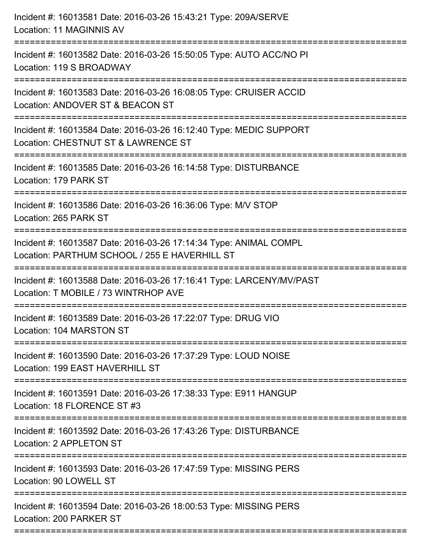| Incident #: 16013581 Date: 2016-03-26 15:43:21 Type: 209A/SERVE<br>Location: 11 MAGINNIS AV                                       |
|-----------------------------------------------------------------------------------------------------------------------------------|
| Incident #: 16013582 Date: 2016-03-26 15:50:05 Type: AUTO ACC/NO PI<br>Location: 119 S BROADWAY                                   |
| Incident #: 16013583 Date: 2016-03-26 16:08:05 Type: CRUISER ACCID<br>Location: ANDOVER ST & BEACON ST<br>:====================== |
| Incident #: 16013584 Date: 2016-03-26 16:12:40 Type: MEDIC SUPPORT<br>Location: CHESTNUT ST & LAWRENCE ST                         |
| Incident #: 16013585 Date: 2016-03-26 16:14:58 Type: DISTURBANCE<br>Location: 179 PARK ST                                         |
| Incident #: 16013586 Date: 2016-03-26 16:36:06 Type: M/V STOP<br>Location: 265 PARK ST                                            |
| Incident #: 16013587 Date: 2016-03-26 17:14:34 Type: ANIMAL COMPL<br>Location: PARTHUM SCHOOL / 255 E HAVERHILL ST                |
| Incident #: 16013588 Date: 2016-03-26 17:16:41 Type: LARCENY/MV/PAST<br>Location: T MOBILE / 73 WINTRHOP AVE                      |
| Incident #: 16013589 Date: 2016-03-26 17:22:07 Type: DRUG VIO<br>Location: 104 MARSTON ST                                         |
| Incident #: 16013590 Date: 2016-03-26 17:37:29 Type: LOUD NOISE<br>Location: 199 EAST HAVERHILL ST                                |
| ====================<br>Incident #: 16013591 Date: 2016-03-26 17:38:33 Type: E911 HANGUP<br>Location: 18 FLORENCE ST #3           |
| Incident #: 16013592 Date: 2016-03-26 17:43:26 Type: DISTURBANCE<br>Location: 2 APPLETON ST                                       |
| Incident #: 16013593 Date: 2016-03-26 17:47:59 Type: MISSING PERS<br>Location: 90 LOWELL ST                                       |
| Incident #: 16013594 Date: 2016-03-26 18:00:53 Type: MISSING PERS<br>Location: 200 PARKER ST                                      |
|                                                                                                                                   |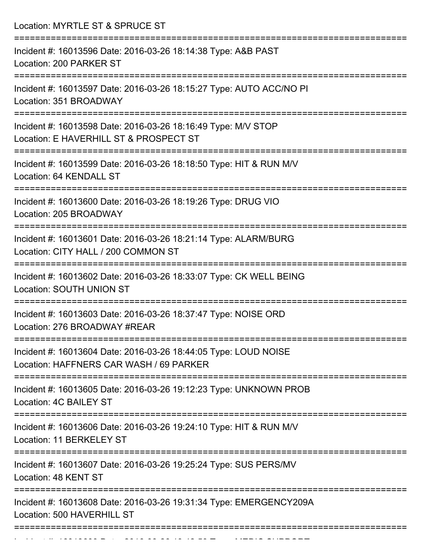| Location: MYRTLE ST & SPRUCE ST                                                                                                |
|--------------------------------------------------------------------------------------------------------------------------------|
| ------------<br>Incident #: 16013596 Date: 2016-03-26 18:14:38 Type: A&B PAST<br>Location: 200 PARKER ST<br>================== |
| Incident #: 16013597 Date: 2016-03-26 18:15:27 Type: AUTO ACC/NO PI<br>Location: 351 BROADWAY                                  |
| Incident #: 16013598 Date: 2016-03-26 18:16:49 Type: M/V STOP<br>Location: E HAVERHILL ST & PROSPECT ST                        |
| Incident #: 16013599 Date: 2016-03-26 18:18:50 Type: HIT & RUN M/V<br>Location: 64 KENDALL ST                                  |
| Incident #: 16013600 Date: 2016-03-26 18:19:26 Type: DRUG VIO<br>Location: 205 BROADWAY                                        |
| ==============<br>Incident #: 16013601 Date: 2016-03-26 18:21:14 Type: ALARM/BURG<br>Location: CITY HALL / 200 COMMON ST       |
| Incident #: 16013602 Date: 2016-03-26 18:33:07 Type: CK WELL BEING<br><b>Location: SOUTH UNION ST</b>                          |
| Incident #: 16013603 Date: 2016-03-26 18:37:47 Type: NOISE ORD<br>Location: 276 BROADWAY #REAR                                 |
| Incident #: 16013604 Date: 2016-03-26 18:44:05 Type: LOUD NOISE<br>Location: HAFFNERS CAR WASH / 69 PARKER                     |
| Incident #: 16013605 Date: 2016-03-26 19:12:23 Type: UNKNOWN PROB<br>Location: 4C BAILEY ST                                    |
| Incident #: 16013606 Date: 2016-03-26 19:24:10 Type: HIT & RUN M/V<br>Location: 11 BERKELEY ST                                 |
| Incident #: 16013607 Date: 2016-03-26 19:25:24 Type: SUS PERS/MV<br>Location: 48 KENT ST                                       |
| Incident #: 16013608 Date: 2016-03-26 19:31:34 Type: EMERGENCY209A<br>Location: 500 HAVERHILL ST                               |
|                                                                                                                                |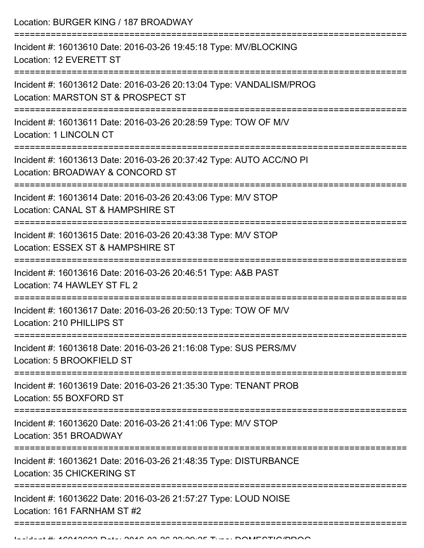| Location: BURGER KING / 187 BROADWAY                                                                              |
|-------------------------------------------------------------------------------------------------------------------|
| Incident #: 16013610 Date: 2016-03-26 19:45:18 Type: MV/BLOCKING<br>Location: 12 EVERETT ST<br>================== |
| Incident #: 16013612 Date: 2016-03-26 20:13:04 Type: VANDALISM/PROG<br>Location: MARSTON ST & PROSPECT ST         |
| Incident #: 16013611 Date: 2016-03-26 20:28:59 Type: TOW OF M/V<br>Location: 1 LINCOLN CT                         |
| Incident #: 16013613 Date: 2016-03-26 20:37:42 Type: AUTO ACC/NO PI<br>Location: BROADWAY & CONCORD ST            |
| Incident #: 16013614 Date: 2016-03-26 20:43:06 Type: M/V STOP<br>Location: CANAL ST & HAMPSHIRE ST                |
| Incident #: 16013615 Date: 2016-03-26 20:43:38 Type: M/V STOP<br>Location: ESSEX ST & HAMPSHIRE ST                |
| Incident #: 16013616 Date: 2016-03-26 20:46:51 Type: A&B PAST<br>Location: 74 HAWLEY ST FL 2                      |
| Incident #: 16013617 Date: 2016-03-26 20:50:13 Type: TOW OF M/V<br>Location: 210 PHILLIPS ST                      |
| Incident #: 16013618 Date: 2016-03-26 21:16:08 Type: SUS PERS/MV<br>Location: 5 BROOKFIELD ST                     |
| Incident #: 16013619 Date: 2016-03-26 21:35:30 Type: TENANT PROB<br>Location: 55 BOXFORD ST                       |
| Incident #: 16013620 Date: 2016-03-26 21:41:06 Type: M/V STOP<br>Location: 351 BROADWAY                           |
| Incident #: 16013621 Date: 2016-03-26 21:48:35 Type: DISTURBANCE<br>Location: 35 CHICKERING ST                    |
| Incident #: 16013622 Date: 2016-03-26 21:57:27 Type: LOUD NOISE<br>Location: 161 FARNHAM ST #2                    |
|                                                                                                                   |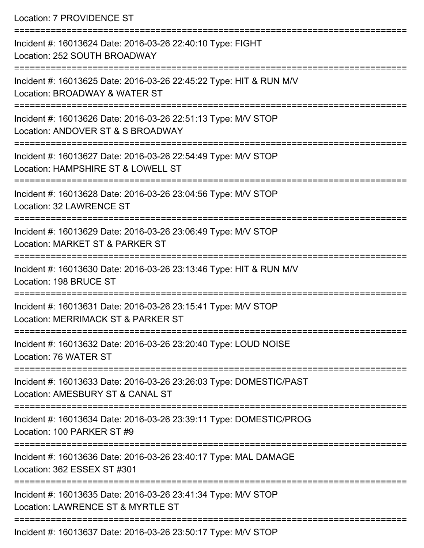Location: 7 PROVIDENCE ST

=========================================================================== Incident #: 16013624 Date: 2016-03-26 22:40:10 Type: FIGHT Location: 252 SOUTH BROADWAY =========================================================================== Incident #: 16013625 Date: 2016-03-26 22:45:22 Type: HIT & RUN M/V Location: BROADWAY & WATER ST =========================================================================== Incident #: 16013626 Date: 2016-03-26 22:51:13 Type: M/V STOP Location: ANDOVER ST & S BROADWAY =========================================================================== Incident #: 16013627 Date: 2016-03-26 22:54:49 Type: M/V STOP Location: HAMPSHIRE ST & LOWELL ST =========================================================================== Incident #: 16013628 Date: 2016-03-26 23:04:56 Type: M/V STOP Location: 32 LAWRENCE ST =========================================================================== Incident #: 16013629 Date: 2016-03-26 23:06:49 Type: M/V STOP Location: MARKET ST & PARKER ST =========================================================================== Incident #: 16013630 Date: 2016-03-26 23:13:46 Type: HIT & RUN M/V Location: 198 BRUCE ST =========================================================================== Incident #: 16013631 Date: 2016-03-26 23:15:41 Type: M/V STOP Location: MERRIMACK ST & PARKER ST =========================================================================== Incident #: 16013632 Date: 2016-03-26 23:20:40 Type: LOUD NOISE Location: 76 WATER ST =========================================================================== Incident #: 16013633 Date: 2016-03-26 23:26:03 Type: DOMESTIC/PAST Location: AMESBURY ST & CANAL ST =========================================================================== Incident #: 16013634 Date: 2016-03-26 23:39:11 Type: DOMESTIC/PROG Location: 100 PARKER ST #9 =========================================================================== Incident #: 16013636 Date: 2016-03-26 23:40:17 Type: MAL DAMAGE Location: 362 ESSEX ST #301 =========================================================================== Incident #: 16013635 Date: 2016-03-26 23:41:34 Type: M/V STOP Location: LAWRENCE ST & MYRTLE ST ===========================================================================

Incident #: 16013637 Date: 2016-03-26 23:50:17 Type: M/V STOP